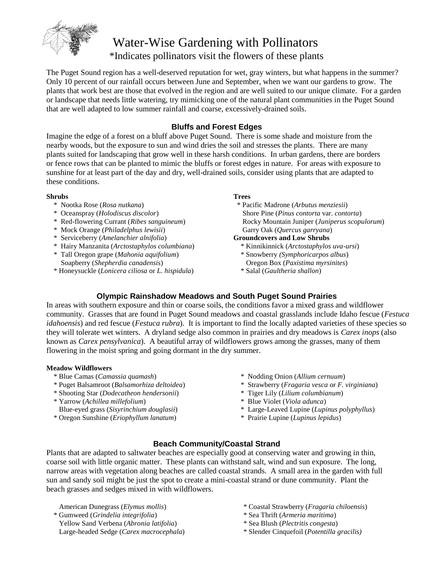

# Water-Wise Gardening with Pollinators \*Indicates pollinators visit the flowers of these plants

The Puget Sound region has a well-deserved reputation for wet, gray winters, but what happens in the summer? Only 10 percent of our rainfall occurs between June and September, when we want our gardens to grow. The plants that work best are those that evolved in the region and are well suited to our unique climate. For a garden or landscape that needs little watering, try mimicking one of the natural plant communities in the Puget Sound that are well adapted to low summer rainfall and coarse, excessively-drained soils.

### **Bluffs and Forest Edges**

Imagine the edge of a forest on a bluff above Puget Sound. There is some shade and moisture from the nearby woods, but the exposure to sun and wind dries the soil and stresses the plants. There are many plants suited for landscaping that grow well in these harsh conditions. In urban gardens, there are borders or fence rows that can be planted to mimic the bluffs or forest edges in nature. For areas with exposure to sunshine for at least part of the day and dry, well-drained soils, consider using plants that are adapted to these conditions.

#### **Shrubs**

- \* Nootka Rose (*Rosa nutkana*)
- \* Oceanspray (*Holodiscus discolor*)
- \* Red-flowering Currant (*Ribes sanguineum*)
- \* Mock Orange (*Philadelphus lewisii*)
- \* Serviceberry (*Amelanchier alnifolia*)
- \* Hairy Manzanita (*Arctostaphylos columbiana*)
- \* Tall Oregon grape (*Mahonia aquifolium*) Soapberry (*Shepherdia canadensis*)
- \* Honeysuckle (*Lonicera ciliosa* or *L. hispidula*)

### **Trees**

\* Pacific Madrone (*Arbutus menziesii*) Shore Pine (*Pinus contorta* var. *contorta*) Rocky Mountain Juniper (*Juniperus scopulorum*) Garry Oak (*Quercus garryana*)

### **Groundcovers and Low Shrubs**

- \* Kinnikinnick (*Arctostaphylos uva-ursi*)
- \* Snowberry *(Symphoricarpos albus*)
- Oregon Box (*Paxistima myrsinites*)
- \* Salal (*Gaultheria shallon*)

### **Olympic Rainshadow Meadows and South Puget Sound Prairies**

In areas with southern exposure and thin or coarse soils, the conditions favor a mixed grass and wildflower community. Grasses that are found in Puget Sound meadows and coastal grasslands include Idaho fescue (*Festuca idahoensis*) and red fescue (*Festuca rubra*). It is important to find the locally adapted varieties of these species so they will tolerate wet winters. A dryland sedge also common in prairies and dry meadows is *Carex inops* (also known as *Carex pensylvanica*). A beautiful array of wildflowers grows among the grasses, many of them flowering in the moist spring and going dormant in the dry summer.

### **Meadow Wildflowers**

- \* Blue Camas (*Camassia quamash*)
- \* Puget Balsamroot (*Balsamorhiza deltoidea*)
- \* Shooting Star (*Dodecatheon hendersonii*)
- \* Yarrow (*Achillea millefolium*) Blue-eyed grass (*Sisyrinchium douglasii*)
- \* Oregon Sunshine (*Eriophyllum lanatum*)
- \* Nodding Onion (*Allium cernuum*)
- \* Strawberry (*Fragaria vesca* or *F. virginiana*)
- \* Tiger Lily (*Lilium columbianum*)
- \* Large-Leaved Lupine (*Lupinus polyphyllus*)
- \* Prairie Lupine (*Lupinus lepidus*)

### **Beach Community/Coastal Strand**

Plants that are adapted to saltwater beaches are especially good at conserving water and growing in thin, coarse soil with little organic matter. These plants can withstand salt, wind and sun exposure. The long, narrow areas with vegetation along beaches are called coastal strands. A small area in the garden with full sun and sandy soil might be just the spot to create a mini-coastal strand or dune community. Plant the beach grasses and sedges mixed in with wildflowers.

American Dunegrass (*Elymus mollis*)

- \* Gumweed (*Grindelia integrifolia*)
- Yellow Sand Verbena (*Abronia latifolia*) Large-headed Sedge (*Carex macrocephala*)
- \* Coastal Strawberry (*Fragaria chiloensis*)
- \* Sea Thrift (*Armeria maritima*)
- \* Sea Blush (*Plectritis congesta*)
- \* Slender Cinquefoil (*Potentilla gracilis)*
- 
- -

### \* Blue Violet (*Viola adunca*)

- 
-